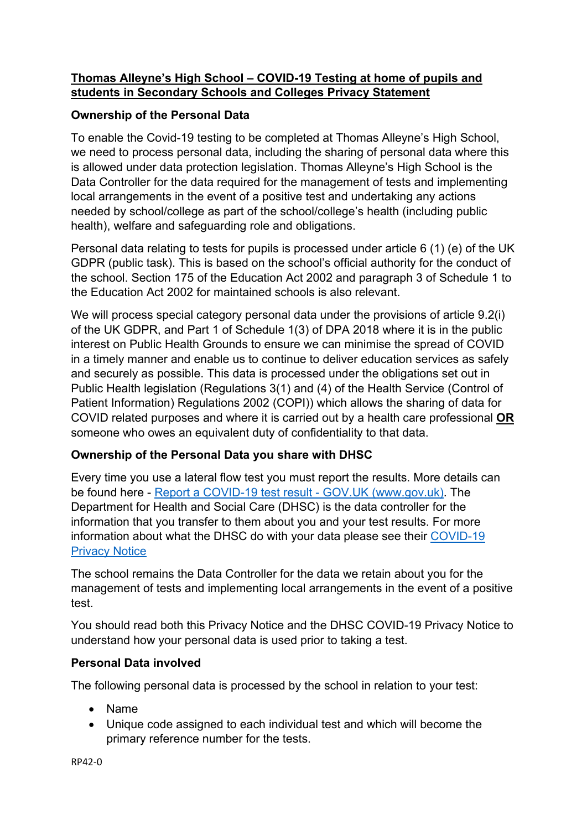# **Thomas Alleyne's High School – COVID-19 Testing at home of pupils and students in Secondary Schools and Colleges Privacy Statement**

# **Ownership of the Personal Data**

To enable the Covid-19 testing to be completed at Thomas Alleyne's High School, we need to process personal data, including the sharing of personal data where this is allowed under data protection legislation. Thomas Alleyne's High School is the Data Controller for the data required for the management of tests and implementing local arrangements in the event of a positive test and undertaking any actions needed by school/college as part of the school/college's health (including public health), welfare and safeguarding role and obligations.

Personal data relating to tests for pupils is processed under article 6 (1) (e) of the UK GDPR (public task). This is based on the school's official authority for the conduct of the school. Section 175 of the Education Act 2002 and paragraph 3 of Schedule 1 to the Education Act 2002 for maintained schools is also relevant.

We will process special category personal data under the provisions of article 9.2(i) of the UK GDPR, and Part 1 of Schedule 1(3) of DPA 2018 where it is in the public interest on Public Health Grounds to ensure we can minimise the spread of COVID in a timely manner and enable us to continue to deliver education services as safely and securely as possible. This data is processed under the obligations set out in Public Health legislation (Regulations 3(1) and (4) of the Health Service (Control of Patient Information) Regulations 2002 (COPI)) which allows the sharing of data for COVID related purposes and where it is carried out by a health care professional **OR** someone who owes an equivalent duty of confidentiality to that data.

# **Ownership of the Personal Data you share with DHSC**

Every time you use a lateral flow test you must report the results. More details can be found here - [Report a COVID-19 test result -](https://www.gov.uk/report-covid19-result) GOV.UK (www.gov.uk). The Department for Health and Social Care (DHSC) is the data controller for the information that you transfer to them about you and your test results. For more information about what the DHSC do with your data please see their [COVID-19](https://www.gov.uk/government/publications/coronavirus-covid-19-testing-privacy-information)  [Privacy Notice](https://www.gov.uk/government/publications/coronavirus-covid-19-testing-privacy-information)

The school remains the Data Controller for the data we retain about you for the management of tests and implementing local arrangements in the event of a positive test.

You should read both this Privacy Notice and the DHSC COVID-19 Privacy Notice to understand how your personal data is used prior to taking a test.

## **Personal Data involved**

The following personal data is processed by the school in relation to your test:

- Name
- Unique code assigned to each individual test and which will become the primary reference number for the tests.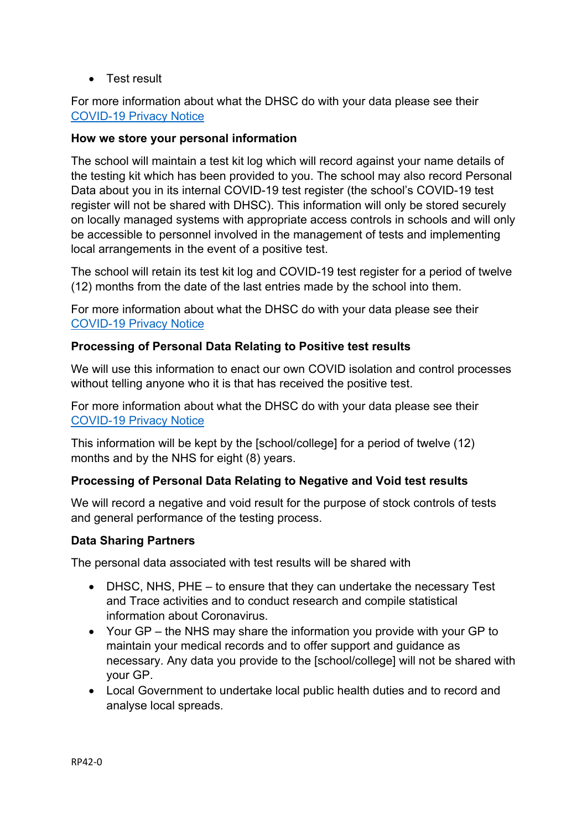• Test result

For more information about what the DHSC do with your data please see their [COVID-19 Privacy Notice](https://www.gov.uk/government/publications/coronavirus-covid-19-testing-privacy-information)

### **How we store your personal information**

The school will maintain a test kit log which will record against your name details of the testing kit which has been provided to you. The school may also record Personal Data about you in its internal COVID-19 test register (the school's COVID-19 test register will not be shared with DHSC). This information will only be stored securely on locally managed systems with appropriate access controls in schools and will only be accessible to personnel involved in the management of tests and implementing local arrangements in the event of a positive test.

The school will retain its test kit log and COVID-19 test register for a period of twelve (12) months from the date of the last entries made by the school into them.

For more information about what the DHSC do with your data please see their [COVID-19 Privacy Notice](https://www.gov.uk/government/publications/coronavirus-covid-19-testing-privacy-information)

### **Processing of Personal Data Relating to Positive test results**

We will use this information to enact our own COVID isolation and control processes without telling anyone who it is that has received the positive test.

For more information about what the DHSC do with your data please see their [COVID-19 Privacy Notice](https://www.gov.uk/government/publications/coronavirus-covid-19-testing-privacy-information)

This information will be kept by the [school/college] for a period of twelve (12) months and by the NHS for eight (8) years.

#### **Processing of Personal Data Relating to Negative and Void test results**

We will record a negative and void result for the purpose of stock controls of tests and general performance of the testing process.

#### **Data Sharing Partners**

The personal data associated with test results will be shared with

- DHSC, NHS, PHE to ensure that they can undertake the necessary Test and Trace activities and to conduct research and compile statistical information about Coronavirus.
- Your GP the NHS may share the information you provide with your GP to maintain your medical records and to offer support and guidance as necessary. Any data you provide to the [school/college] will not be shared with your GP.
- Local Government to undertake local public health duties and to record and analyse local spreads.